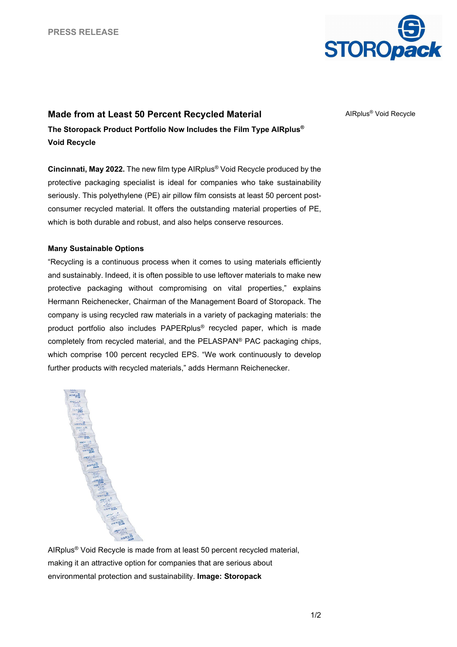

## **Made from at Least 50 Percent Recycled Material**

**The Storopack Product Portfolio Now Includes the Film Type AIRplus® Void Recycle**

**Cincinnati, May 2022.** The new film type AIRplus® Void Recycle produced by the protective packaging specialist is ideal for companies who take sustainability seriously. This polyethylene (PE) air pillow film consists at least 50 percent postconsumer recycled material. It offers the outstanding material properties of PE, which is both durable and robust, and also helps conserve resources.

## **Many Sustainable Options**

"Recycling is a continuous process when it comes to using materials efficiently and sustainably. Indeed, it is often possible to use leftover materials to make new protective packaging without compromising on vital properties," explains Hermann Reichenecker, Chairman of the Management Board of Storopack. The company is using recycled raw materials in a variety of packaging materials: the product portfolio also includes PAPERplus® recycled paper, which is made completely from recycled material, and the PELASPAN® PAC packaging chips, which comprise 100 percent recycled EPS. "We work continuously to develop further products with recycled materials," adds Hermann Reichenecker.



AIRplus® Void Recycle is made from at least 50 percent recycled material, making it an attractive option for companies that are serious about environmental protection and sustainability. **Image: Storopack**

AIRplus® Void Recycle